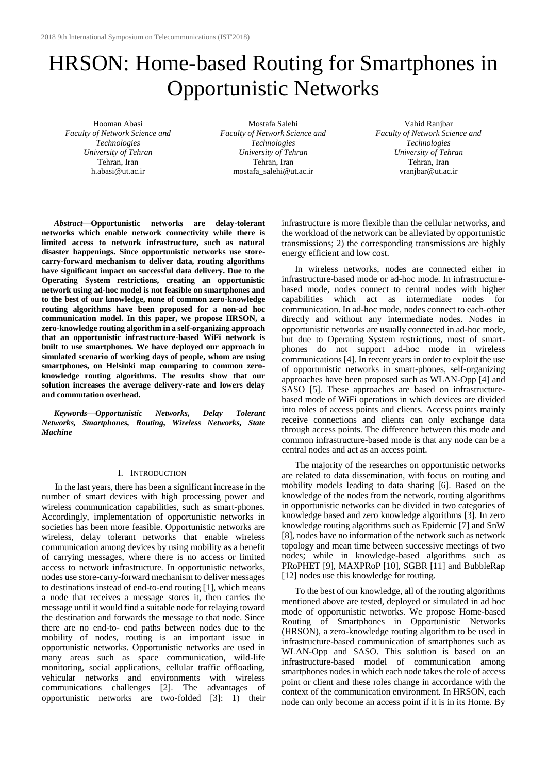# HRSON: Home-based Routing for Smartphones in Opportunistic Networks

Hooman Abasi *Faculty of Network Science and Technologies University of Tehran* Tehran, Iran h.abasi@ut.ac.ir

Mostafa Salehi *Faculty of Network Science and Technologies University of Tehran* Tehran, Iran mostafa\_salehi@ut.ac.ir

Vahid Ranjbar *Faculty of Network Science and Technologies University of Tehran* Tehran, Iran vranjbar@ut.ac.ir

*Abstract***—Opportunistic networks are delay-tolerant networks which enable network connectivity while there is limited access to network infrastructure, such as natural disaster happenings. Since opportunistic networks use storecarry-forward mechanism to deliver data, routing algorithms have significant impact on successful data delivery. Due to the Operating System restrictions, creating an opportunistic network using ad-hoc model is not feasible on smartphones and to the best of our knowledge, none of common zero-knowledge routing algorithms have been proposed for a non-ad hoc communication model. In this paper, we propose HRSON, a zero-knowledge routing algorithm in a self-organizing approach that an opportunistic infrastructure-based WiFi network is built to use smartphones. We have deployed our approach in simulated scenario of working days of people, whom are using smartphones, on Helsinki map comparing to common zeroknowledge routing algorithms. The results show that our solution increases the average delivery-rate and lowers delay and commutation overhead.**

*Keywords—Opportunistic Networks, Delay Tolerant Networks, Smartphones, Routing, Wireless Networks, State Machine*

## I. INTRODUCTION

In the last years, there has been a significant increase in the number of smart devices with high processing power and wireless communication capabilities, such as smart-phones. Accordingly, implementation of opportunistic networks in societies has been more feasible. Opportunistic networks are wireless, delay tolerant networks that enable wireless communication among devices by using mobility as a benefit of carrying messages, where there is no access or limited access to network infrastructure. In opportunistic networks, nodes use store-carry-forward mechanism to deliver messages to destinations instead of end-to-end routing [1], which means a node that receives a message stores it, then carries the message until it would find a suitable node for relaying toward the destination and forwards the message to that node. Since there are no end-to- end paths between nodes due to the mobility of nodes, routing is an important issue in opportunistic networks. Opportunistic networks are used in many areas such as space communication, wild-life monitoring, social applications, cellular traffic offloading, vehicular networks and environments with wireless communications challenges [2]. The advantages of opportunistic networks are two-folded [3]: 1) their infrastructure is more flexible than the cellular networks, and the workload of the network can be alleviated by opportunistic transmissions; 2) the corresponding transmissions are highly energy efficient and low cost.

In wireless networks, nodes are connected either in infrastructure-based mode or ad-hoc mode. In infrastructurebased mode, nodes connect to central nodes with higher capabilities which act as intermediate nodes for communication. In ad-hoc mode, nodes connect to each-other directly and without any intermediate nodes. Nodes in opportunistic networks are usually connected in ad-hoc mode, but due to Operating System restrictions, most of smartphones do not support ad-hoc mode in wireless communications [4]. In recent years in order to exploit the use of opportunistic networks in smart-phones, self-organizing approaches have been proposed such as WLAN-Opp [4] and SASO [5]. These approaches are based on infrastructurebased mode of WiFi operations in which devices are divided into roles of access points and clients. Access points mainly receive connections and clients can only exchange data through access points. The difference between this mode and common infrastructure-based mode is that any node can be a central nodes and act as an access point.

The majority of the researches on opportunistic networks are related to data dissemination, with focus on routing and mobility models leading to data sharing [6]. Based on the knowledge of the nodes from the network, routing algorithms in opportunistic networks can be divided in two categories of knowledge based and zero knowledge algorithms [3]. In zero knowledge routing algorithms such as Epidemic [7] and SnW [8], nodes have no information of the network such as network topology and mean time between successive meetings of two nodes; while in knowledge-based algorithms such as PRoPHET [9], MAXPRoP [10], SGBR [11] and BubbleRap [12] nodes use this knowledge for routing.

To the best of our knowledge, all of the routing algorithms mentioned above are tested, deployed or simulated in ad hoc mode of opportunistic networks. We propose Home-based Routing of Smartphones in Opportunistic Networks (HRSON), a zero-knowledge routing algorithm to be used in infrastructure-based communication of smartphones such as WLAN-Opp and SASO. This solution is based on an infrastructure-based model of communication among smartphones nodes in which each node takes the role of access point or client and these roles change in accordance with the context of the communication environment. In HRSON, each node can only become an access point if it is in its Home. By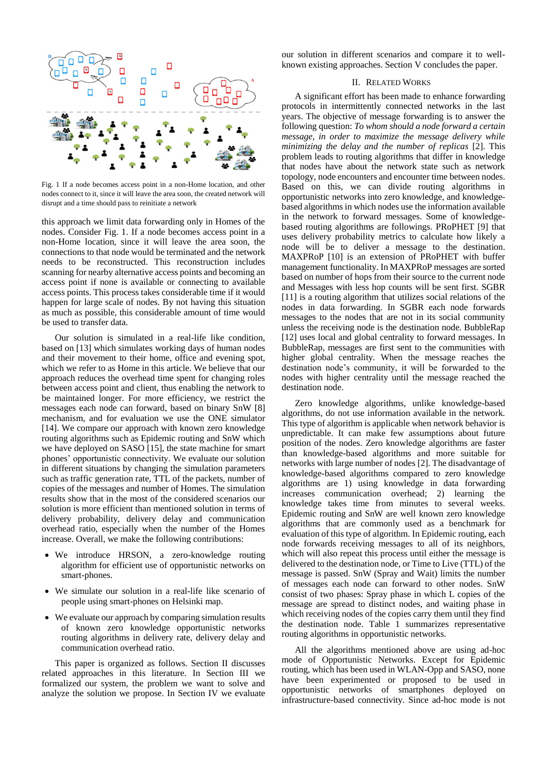

<span id="page-1-0"></span>Fig. 1 If a node becomes access point in a non-Home location, and other nodes connect to it, since it will leave the area soon, the created network will disrupt and a time should pass to reinitiate a network

this approach we limit data forwarding only in Homes of the nodes. Consider [Fig. 1.](#page-1-0) If a node becomes access point in a non-Home location, since it will leave the area soon, the connections to that node would be terminated and the network needs to be reconstructed. This reconstruction includes scanning for nearby alternative access points and becoming an access point if none is available or connecting to available access points. This process takes considerable time if it would happen for large scale of nodes. By not having this situation as much as possible, this considerable amount of time would be used to transfer data.

Our solution is simulated in a real-life like condition, based on [13] which simulates working days of human nodes and their movement to their home, office and evening spot, which we refer to as Home in this article. We believe that our approach reduces the overhead time spent for changing roles between access point and client, thus enabling the network to be maintained longer. For more efficiency, we restrict the messages each node can forward, based on binary SnW [8] mechanism, and for evaluation we use the ONE simulator [14]. We compare our approach with known zero knowledge routing algorithms such as Epidemic routing and SnW which we have deployed on SASO [15], the state machine for smart phones' opportunistic connectivity. We evaluate our solution in different situations by changing the simulation parameters such as traffic generation rate, TTL of the packets, number of copies of the messages and number of Homes. The simulation results show that in the most of the considered scenarios our solution is more efficient than mentioned solution in terms of delivery probability, delivery delay and communication overhead ratio, especially when the number of the Homes increase. Overall, we make the following contributions:

- We introduce HRSON, a zero-knowledge routing algorithm for efficient use of opportunistic networks on smart-phones.
- We simulate our solution in a real-life like scenario of people using smart-phones on Helsinki map.
- We evaluate our approach by comparing simulation results of known zero knowledge opportunistic networks routing algorithms in delivery rate, delivery delay and communication overhead ratio.

This paper is organized as follows. Section II discusses related approaches in this literature. In Section III we formalized our system, the problem we want to solve and analyze the solution we propose. In Section IV we evaluate our solution in different scenarios and compare it to wellknown existing approaches. Section V concludes the paper.

# II. RELATED WORKS

A significant effort has been made to enhance forwarding protocols in intermittently connected networks in the last years. The objective of message forwarding is to answer the following question: *To whom should a node forward a certain message, in order to maximize the message delivery while minimizing the delay and the number of replicas* [2]. This problem leads to routing algorithms that differ in knowledge that nodes have about the network state such as network topology, node encounters and encounter time between nodes. Based on this, we can divide routing algorithms in opportunistic networks into zero knowledge, and knowledgebased algorithms in which nodes use the information available in the network to forward messages. Some of knowledgebased routing algorithms are followings. PRoPHET [9] that uses delivery probability metrics to calculate how likely a node will be to deliver a message to the destination. MAXPRoP [10] is an extension of PRoPHET with buffer management functionality. In MAXPRoP messages are sorted based on number of hops from their source to the current node and Messages with less hop counts will be sent first. SGBR [11] is a routing algorithm that utilizes social relations of the nodes in data forwarding. In SGBR each node forwards messages to the nodes that are not in its social community unless the receiving node is the destination node. BubbleRap [12] uses local and global centrality to forward messages. In BubbleRap, messages are first sent to the communities with higher global centrality. When the message reaches the destination node's community, it will be forwarded to the nodes with higher centrality until the message reached the destination node.

Zero knowledge algorithms, unlike knowledge-based algorithms, do not use information available in the network. This type of algorithm is applicable when network behavior is unpredictable. It can make few assumptions about future position of the nodes. Zero knowledge algorithms are faster than knowledge-based algorithms and more suitable for networks with large number of nodes [2]. The disadvantage of knowledge-based algorithms compared to zero knowledge algorithms are 1) using knowledge in data forwarding increases communication overhead; 2) learning the knowledge takes time from minutes to several weeks. Epidemic routing and SnW are well known zero knowledge algorithms that are commonly used as a benchmark for evaluation of this type of algorithm. In Epidemic routing, each node forwards receiving messages to all of its neighbors, which will also repeat this process until either the message is delivered to the destination node, or Time to Live (TTL) of the message is passed. SnW (Spray and Wait) limits the number of messages each node can forward to other nodes. SnW consist of two phases: Spray phase in which L copies of the message are spread to distinct nodes, and waiting phase in which receiving nodes of the copies carry them until they find the destination node. [Table](#page-2-0) 1 summarizes representative routing algorithms in opportunistic networks.

All the algorithms mentioned above are using ad-hoc mode of Opportunistic Networks. Except for Epidemic routing, which has been used in WLAN-Opp and SASO, none have been experimented or proposed to be used in opportunistic networks of smartphones deployed on infrastructure-based connectivity. Since ad-hoc mode is not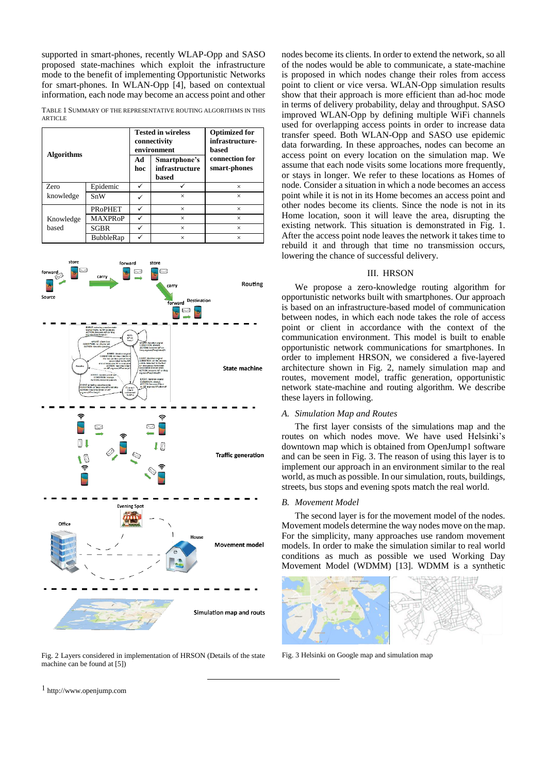supported in smart-phones, recently WLAP-Opp and SASO proposed state-machines which exploit the infrastructure mode to the benefit of implementing Opportunistic Networks for smart-phones. In WLAN-Opp [4], based on contextual information, each node may become an access point and other

<span id="page-2-0"></span>TABLE 1 SUMMARY OF THE REPRESENTATIVE ROUTING ALGORITHMS IN THIS **ARTICLE** 

| <b>Algorithms</b>  |                |           | <b>Tested in wireless</b><br>connectivity<br>environment | <b>Optimized for</b><br>infrastructure-<br>based |
|--------------------|----------------|-----------|----------------------------------------------------------|--------------------------------------------------|
|                    |                | Ad<br>hoc | Smartphone's<br>infrastructure<br>based                  | connection for<br>smart-phones                   |
| <b>Zero</b>        | Epidemic       |           |                                                          | $\times$                                         |
| knowledge          | SnW            |           | $\times$                                                 | $\times$                                         |
|                    | <b>PROPHET</b> |           | $\times$                                                 | $\times$                                         |
| Knowledge<br>based | <b>MAXPRoP</b> |           | $\times$                                                 | $\times$                                         |
|                    | SGBR           |           | $\times$                                                 | $\times$                                         |
|                    | BubbleRap      |           | $\times$                                                 | $\times$                                         |



<span id="page-2-1"></span>Fig. 2 Layers considered in implementation of HRSON (Details of the state Fig. 3 Helsinki on Google map and simulation map machine can be found at [5])

l

nodes become its clients. In order to extend the network, so all of the nodes would be able to communicate, a state-machine is proposed in which nodes change their roles from access point to client or vice versa. WLAN-Opp simulation results show that their approach is more efficient than ad-hoc mode in terms of delivery probability, delay and throughput. SASO improved WLAN-Opp by defining multiple WiFi channels used for overlapping access points in order to increase data transfer speed. Both WLAN-Opp and SASO use epidemic data forwarding. In these approaches, nodes can become an access point on every location on the simulation map. We assume that each node visits some locations more frequently, or stays in longer. We refer to these locations as Homes of node. Consider a situation in which a node becomes an access point while it is not in its Home becomes an access point and other nodes become its clients. Since the node is not in its Home location, soon it will leave the area, disrupting the existing network. This situation is demonstrated in [Fig. 1.](#page-1-0) After the access point node leaves the network it takes time to rebuild it and through that time no transmission occurs, lowering the chance of successful delivery.

# III. HRSON

We propose a zero-knowledge routing algorithm for opportunistic networks built with smartphones. Our approach is based on an infrastructure-based model of communication between nodes, in which each node takes the role of access point or client in accordance with the context of the communication environment. This model is built to enable opportunistic network communications for smartphones. In order to implement HRSON, we considered a five-layered architecture shown in [Fig. 2,](#page-2-1) namely simulation map and routes, movement model, traffic generation, opportunistic network state-machine and routing algorithm. We describe these layers in following.

## *A. Simulation Map and Routes*

The first layer consists of the simulations map and the routes on which nodes move. We have used Helsinki's downtown map which is obtained from OpenJump1 software and can be seen in [Fig. 3.](#page-2-2) The reason of using this layer is to implement our approach in an environment similar to the real world, as much as possible. In our simulation, routs, buildings, streets, bus stops and evening spots match the real world.

## *B. Movement Model*

The second layer is for the movement model of the nodes. Movement models determine the way nodes move on the map. For the simplicity, many approaches use random movement models. In order to make the simulation similar to real world conditions as much as possible we used Working Day Movement Model (WDMM) [13]. WDMM is a synthetic

<span id="page-2-2"></span>

1 http://www.openjump.com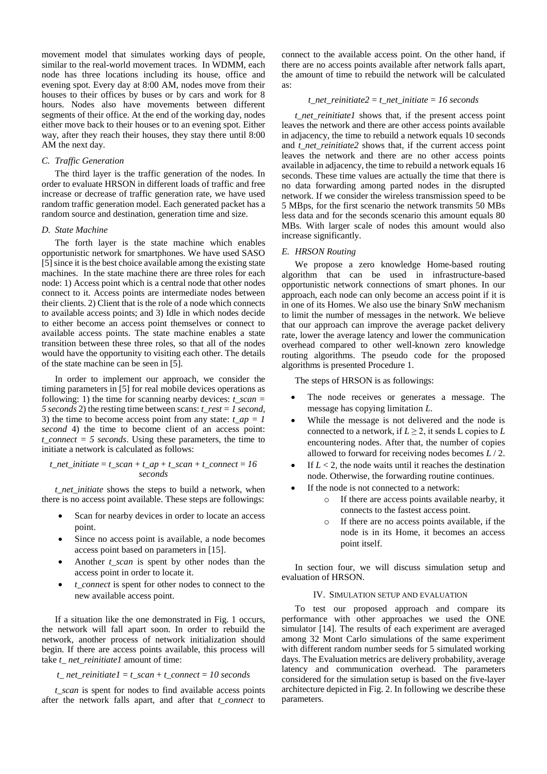movement model that simulates working days of people, similar to the real-world movement traces. In WDMM, each node has three locations including its house, office and evening spot. Every day at 8:00 AM, nodes move from their houses to their offices by buses or by cars and work for 8 hours. Nodes also have movements between different segments of their office. At the end of the working day, nodes either move back to their houses or to an evening spot. Either way, after they reach their houses, they stay there until 8:00 AM the next day.

# *C. Traffic Generation*

The third layer is the traffic generation of the nodes. In order to evaluate HRSON in different loads of traffic and free increase or decrease of traffic generation rate, we have used random traffic generation model. Each generated packet has a random source and destination, generation time and size.

### *D. State Machine*

The forth layer is the state machine which enables opportunistic network for smartphones. We have used SASO [5] since it is the best choice available among the existing state machines. In the state machine there are three roles for each node: 1) Access point which is a central node that other nodes connect to it. Access points are intermediate nodes between their clients. 2) Client that is the role of a node which connects to available access points; and 3) Idle in which nodes decide to either become an access point themselves or connect to available access points. The state machine enables a state transition between these three roles, so that all of the nodes would have the opportunity to visiting each other. The details of the state machine can be seen in [5].

In order to implement our approach, we consider the timing parameters in [5] for real mobile devices operations as following: 1) the time for scanning nearby devices:  $t_{\text{scan}} =$ *5 seconds* 2) the resting time between scans: *t\_rest = 1 second,* 3) the time to become access point from any state:  $t_a$   $ap = 1$ *second* 4) the time to become client of an access point: *t\_connect = 5 seconds*. Using these parameters, the time to initiate a network is calculated as follows:

$$
t\_net\_initiate = t\_scan + t\_ap + t\_scan + t\_connect = 16
$$
  
seconds

*t* net initiate shows the steps to build a network, when there is no access point available. These steps are followings:

- Scan for nearby devices in order to locate an access point.
- Since no access point is available, a node becomes access point based on parameters in [15].
- Another *t* scan is spent by other nodes than the access point in order to locate it.
- *t\_connect* is spent for other nodes to connect to the new available access point.

If a situation like the one demonstrated in Fig. 1 occurs, the network will fall apart soon. In order to rebuild the network, another process of network initialization should begin. If there are access points available, this process will take *t\_ net\_reinitiate1* amount of time:

#### *t\_ net\_reinitiate1* = *t\_scan* + *t\_connect* = *10 seconds*

*t\_scan* is spent for nodes to find available access points after the network falls apart, and after that *t\_connect* to connect to the available access point. On the other hand, if there are no access points available after network falls apart, the amount of time to rebuild the network will be calculated as:

## *t\_net\_reinitiate2* = *t\_net\_initiate* =  $16$  seconds

*t\_net\_reinitiate1* shows that, if the present access point leaves the network and there are other access points available in adjacency, the time to rebuild a network equals 10 seconds and *t\_net\_reinitiate2* shows that, if the current access point leaves the network and there are no other access points available in adjacency, the time to rebuild a network equals 16 seconds. These time values are actually the time that there is no data forwarding among parted nodes in the disrupted network. If we consider the wireless transmission speed to be 5 MBps, for the first scenario the network transmits 50 MBs less data and for the seconds scenario this amount equals 80 MBs. With larger scale of nodes this amount would also increase significantly.

#### *E. HRSON Routing*

We propose a zero knowledge Home-based routing algorithm that can be used in infrastructure-based opportunistic network connections of smart phones. In our approach, each node can only become an access point if it is in one of its Homes. We also use the binary SnW mechanism to limit the number of messages in the network. We believe that our approach can improve the average packet delivery rate, lower the average latency and lower the communication overhead compared to other well-known zero knowledge routing algorithms. The pseudo code for the proposed algorithms is presented Procedure 1.

The steps of HRSON is as followings:

- The node receives or generates a message. The message has copying limitation *L*.
- While the message is not delivered and the node is connected to a network, if  $L \geq 2$ , it sends L copies to L encountering nodes. After that, the number of copies allowed to forward for receiving nodes becomes *L* / 2.
- If  $L < 2$ , the node waits until it reaches the destination node. Otherwise, the forwarding routine continues.
- If the node is not connected to a network:
	- o If there are access points available nearby, it connects to the fastest access point.
	- o If there are no access points available, if the node is in its Home, it becomes an access point itself.

In section four, we will discuss simulation setup and evaluation of HRSON.

#### IV. SIMULATION SETUP AND EVALUATION

To test our proposed approach and compare its performance with other approaches we used the ONE simulator [14]. The results of each experiment are averaged among 32 Mont Carlo simulations of the same experiment with different random number seeds for 5 simulated working days. The Evaluation metrics are delivery probability, average latency and communication overhead. The parameters considered for the simulation setup is based on the five-layer architecture depicted i[n Fig. 2.](#page-2-1) In following we describe these parameters.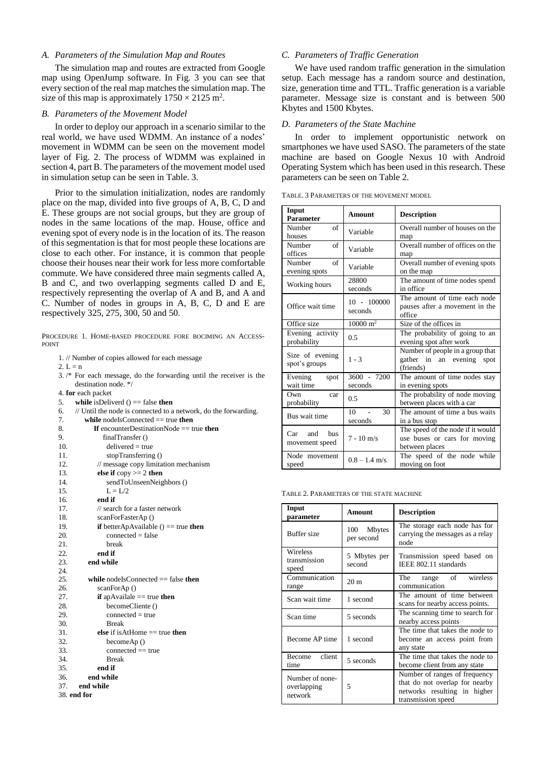# *A. Parameters of the Simulation Map and Routes*

The simulation map and routes are extracted from Google map using OpenJump software. In [Fig. 3](#page-2-2) you can see that every section of the real map matches the simulation map. The size of this map is approximately  $1750 \times 2125$  m<sup>2</sup>.

# *B. Parameters of the Movement Model*

In order to deploy our approach in a scenario similar to the real world, we have used WDMM. An instance of a nodes' movement in WDMM can be seen on the movement model layer of [Fig. 2.](#page-2-1) The process of WDMM was explained in section 4, part B. The parameters of the movement model used in simulation setup can be seen in [Table. 3.](#page-4-0)

Prior to the simulation initialization, nodes are randomly place on the map, divided into five groups of A, B, C, D and E. These groups are not social groups, but they are group of nodes in the same locations of the map. House, office and evening spot of every node is in the location of its. The reason of this segmentation is that for most people these locations are close to each other. For instance, it is common that people choose their houses near their work for less more comfortable commute. We have considered three main segments called A, B and C, and two overlapping segments called D and E, respectively representing the overlap of A and B, and A and C. Number of nodes in groups in A, B, C, D and E are respectively 325, 275, 300, 50 and 50.

PROCEDURE 1. HOME-BASED PROCEDURE FORE BOCIMING AN ACCESS-POINT

1. // Number of copies allowed for each message

2.  $L = n$ 

3. /\* For each message, do the forwarding until the receiver is the destination node. \*/

4. **for** each packet

- 5. **while** isDeliverd () == false **then**
- 6. // Until the node is connected to a network, do the forwarding.

| 7.  | while nodelsConnected $==$ true then       |
|-----|--------------------------------------------|
| 8.  | If encounterDestinationNode $==$ true then |
| 9.  | finalTransfer()                            |
| 10. | $delivered = true$                         |
| 11. | stopTransferring ()                        |
| 12. | // message copy limitation mechanism       |
| 13. | else if $copy >= 2$ then                   |
| 14. | sendToUnseenNeighbors ()                   |
| 15. | $L = L/2$                                  |
| 16. | end if                                     |
| 17. | $\frac{1}{2}$ search for a faster network  |
| 18. | scanForFasterAp()                          |
| 19. | if betterApAvailable $() == true$ then     |
| 20. | $connected = false$                        |
| 21. | break                                      |
| 22. | end if                                     |
| 23. | end while                                  |
| 24. |                                            |
| 25. | while nodels Connected $==$ false then     |
| 26. | scanForAp $()$                             |
| 27. | <b>if</b> apAvailale $==$ true <b>then</b> |
| 28. | becomeCliente ()                           |
| 29. | $connected = true$                         |
| 30. | <b>Break</b>                               |
| 31. | else if is $AtHome == true$ then           |
| 32. | becomeAp()                                 |
| 33. | $connected == true$                        |
| 34. | <b>Break</b>                               |
| 35. | end if                                     |
| 36. | end while                                  |
| 37. | end while                                  |
|     | 38. end for                                |

# *C. Parameters of Traffic Generation*

We have used random traffic generation in the simulation setup. Each message has a random source and destination, size, generation time and TTL. Traffic generation is a variable parameter. Message size is constant and is between 500 Kbytes and 1500 Kbytes.

#### *D. Parameters of the State Machine*

In order to implement opportunistic network on smartphones we have used SASO. The parameters of the state machine are based on Google Nexus 10 with Android Operating System which has been used in this research. These parameters can be seen on [Table 2.](#page-4-1)

<span id="page-4-0"></span>TABLE. 3 PARAMETERS OF THE MOVEMENT MODEL

| Input<br><b>Parameter</b>          | <b>Amount</b>            | <b>Description</b>                                                                  |  |
|------------------------------------|--------------------------|-------------------------------------------------------------------------------------|--|
| Number<br>of<br>houses             | Variable                 | Overall number of houses on the<br>map                                              |  |
| Number<br>of<br>offices            | Variable                 | Overall number of offices on the<br>map                                             |  |
| Number<br>of<br>evening spots      | Variable                 | Overall number of evening spots<br>on the map                                       |  |
| Working hours                      | 28800<br>seconds         | The amount of time nodes spend<br>in office                                         |  |
| Office wait time                   | 10 - 100000<br>seconds   | The amount of time each node<br>pauses after a movement in the<br>office            |  |
| Office size                        | $10000 \; \mathrm{m}^2$  | Size of the offices in                                                              |  |
| Evening activity<br>probability    | 0.5                      | The probability of going to an<br>evening spot after work                           |  |
| Size of evening<br>spot's groups   | $1 - 3$                  | Number of people in a group that<br>gather in an evening spot<br>(friends)          |  |
| Evening<br>spot<br>wait time       | 3600 - 7200<br>seconds   | The amount of time nodes stay<br>in evening spots                                   |  |
| Own<br>car<br>probability          | 0.5                      | The probability of node moving<br>between places with a car                         |  |
| Bus wait time                      | 30<br>10<br>÷<br>seconds | The amount of time a bus waits<br>in a bus stop                                     |  |
| $Car$ and<br>hus<br>movement speed | $7 - 10$ m/s             | The speed of the node if it would<br>use buses or cars for moving<br>between places |  |
| Node movement<br>speed             | $0.8 - 1.4$ m/s          | The speed of the node while<br>moving on foot                                       |  |

<span id="page-4-1"></span>TABLE 2. PARAMETERS OF THE STATE MACHINE

| Input<br>Amount<br>parameter                   |                          | <b>Description</b>                                                                                                    |  |
|------------------------------------------------|--------------------------|-----------------------------------------------------------------------------------------------------------------------|--|
| Buffer size                                    | 100 Mbytes<br>per second | The storage each node has for<br>carrying the messages as a relay<br>node                                             |  |
| Wireless<br>transmission<br>speed              | 5 Mbytes per<br>second   | Transmission speed based on<br>IEEE 802.11 standards                                                                  |  |
| Communication<br>range                         | 20 <sub>m</sub>          | wireless<br>range of<br>The<br>communication                                                                          |  |
| Scan wait time<br>1 second                     |                          | The amount of time between<br>scans for nearby access points.                                                         |  |
| Scan time                                      | 5 seconds                | The scanning time to search for<br>nearby access points                                                               |  |
| Become AP time                                 | 1 second                 | The time that takes the node to<br>become an access point from<br>any state                                           |  |
| client<br><b>Become</b><br>5 seconds<br>time   |                          | The time that takes the node to<br>become client from any state                                                       |  |
| Number of none-<br>5<br>overlapping<br>network |                          | Number of ranges of frequency<br>that do not overlap for nearby<br>networks resulting in higher<br>transmission speed |  |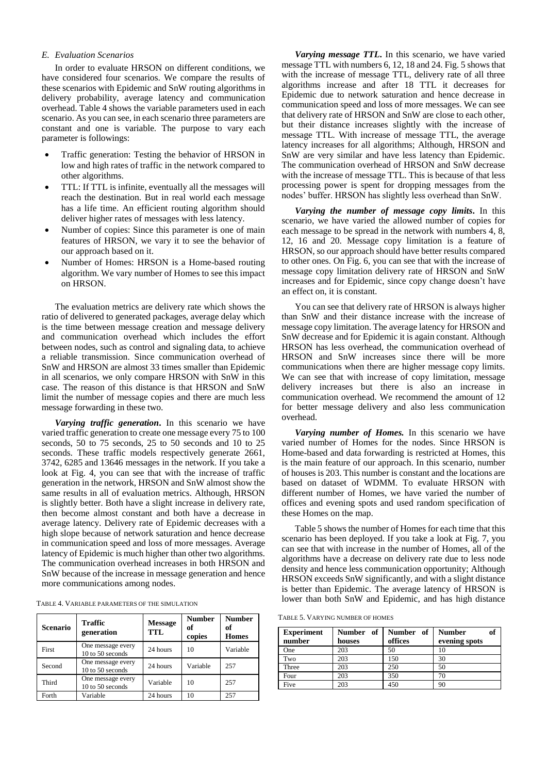# *E. Evaluation Scenarios*

In order to evaluate HRSON on different conditions, we have considered four scenarios. We compare the results of these scenarios with Epidemic and SnW routing algorithms in delivery probability, average latency and communication overhead. [Table 4](#page-5-0) shows the variable parameters used in each scenario. As you can see, in each scenario three parameters are constant and one is variable. The purpose to vary each parameter is followings:

- Traffic generation: Testing the behavior of HRSON in low and high rates of traffic in the network compared to other algorithms.
- TTL: If TTL is infinite, eventually all the messages will reach the destination. But in real world each message has a life time. An efficient routing algorithm should deliver higher rates of messages with less latency.
- Number of copies: Since this parameter is one of main features of HRSON, we vary it to see the behavior of our approach based on it.
- Number of Homes: HRSON is a Home-based routing algorithm. We vary number of Homes to see this impact on HRSON.

The evaluation metrics are delivery rate which shows the ratio of delivered to generated packages, average delay which is the time between message creation and message delivery and communication overhead which includes the effort between nodes, such as control and signaling data, to achieve a reliable transmission. Since communication overhead of SnW and HRSON are almost 33 times smaller than Epidemic in all scenarios, we only compare HRSON with SnW in this case. The reason of this distance is that HRSON and SnW limit the number of message copies and there are much less message forwarding in these two.

*Varying traffic generation***.** In this scenario we have varied traffic generation to create one message every 75 to 100 seconds, 50 to 75 seconds, 25 to 50 seconds and 10 to 25 seconds. These traffic models respectively generate 2661, 3742, 6285 and 13646 messages in the network. If you take a look at [Fig. 4,](#page-6-0) you can see that with the increase of traffic generation in the network, HRSON and SnW almost show the same results in all of evaluation metrics. Although, HRSON is slightly better. Both have a slight increase in delivery rate, then become almost constant and both have a decrease in average latency. Delivery rate of Epidemic decreases with a high slope because of network saturation and hence decrease in communication speed and loss of more messages. Average latency of Epidemic is much higher than other two algorithms. The communication overhead increases in both HRSON and SnW because of the increase in message generation and hence more communications among nodes.

<span id="page-5-0"></span>

| TABLE 4. VARIABLE PARAMETERS OF THE SIMULATION |  |
|------------------------------------------------|--|
|------------------------------------------------|--|

| <b>Scenario</b> | Traffic<br>generation                 | <b>Message</b><br><b>TTL</b> | <b>Number</b><br>оf<br>copies | <b>Number</b><br>of<br><b>Homes</b> |
|-----------------|---------------------------------------|------------------------------|-------------------------------|-------------------------------------|
| First           | One message every<br>10 to 50 seconds | 24 hours                     | 10                            | Variable                            |
| Second          | One message every<br>10 to 50 seconds | 24 hours                     | Variable                      | 257                                 |
| Third           | One message every<br>10 to 50 seconds | Variable                     | 10                            | 257                                 |
| Forth           | Variable                              | 24 hours                     | 10                            | 257                                 |

*Varying message TTL***.** In this scenario, we have varied message TTL with numbers 6, 12, 18 and 24[. Fig. 5](#page-6-1) shows that with the increase of message TTL, delivery rate of all three algorithms increase and after 18 TTL it decreases for Epidemic due to network saturation and hence decrease in communication speed and loss of more messages. We can see that delivery rate of HRSON and SnW are close to each other, but their distance increases slightly with the increase of message TTL. With increase of message TTL, the average latency increases for all algorithms; Although, HRSON and SnW are very similar and have less latency than Epidemic. The communication overhead of HRSON and SnW decrease with the increase of message TTL. This is because of that less processing power is spent for dropping messages from the nodes' buffer. HRSON has slightly less overhead than SnW.

*Varying the number of message copy limits***.** In this scenario, we have varied the allowed number of copies for each message to be spread in the network with numbers 4, 8, 12, 16 and 20. Message copy limitation is a feature of HRSON, so our approach should have better results compared to other ones. O[n Fig. 6,](#page-6-2) you can see that with the increase of message copy limitation delivery rate of HRSON and SnW increases and for Epidemic, since copy change doesn't have an effect on, it is constant.

You can see that delivery rate of HRSON is always higher than SnW and their distance increase with the increase of message copy limitation. The average latency for HRSON and SnW decrease and for Epidemic it is again constant. Although HRSON has less overhead, the communication overhead of HRSON and SnW increases since there will be more communications when there are higher message copy limits. We can see that with increase of copy limitation, message delivery increases but there is also an increase in communication overhead. We recommend the amount of 12 for better message delivery and also less communication overhead.

*Varying number of Homes.* In this scenario we have varied number of Homes for the nodes. Since HRSON is Home-based and data forwarding is restricted at Homes, this is the main feature of our approach. In this scenario, number of houses is 203. This number is constant and the locations are based on dataset of WDMM. To evaluate HRSON with different number of Homes, we have varied the number of offices and evening spots and used random specification of these Homes on the map.

[Table 5](#page-5-1) shows the number of Homes for each time that this scenario has been deployed. If you take a look at [Fig. 7,](#page-6-3) you can see that with increase in the number of Homes, all of the algorithms have a decrease on delivery rate due to less node density and hence less communication opportunity; Although HRSON exceeds SnW significantly, and with a slight distance is better than Epidemic. The average latency of HRSON is lower than both SnW and Epidemic, and has high distance

<span id="page-5-1"></span>TABLE 5. VARYING NUMBER OF HOMES

| <b>Experiment</b><br>number | Number of I<br>houses | Number of<br>offices | of<br><b>Number</b><br>evening spots |
|-----------------------------|-----------------------|----------------------|--------------------------------------|
| One                         | 203                   | 50                   |                                      |
| Two                         | 203                   | 150                  | 30                                   |
| Three                       | 203                   | 250                  | 50                                   |
| Four                        | 203                   | 350                  | 70                                   |
| Five                        | 203                   | 450                  | 90                                   |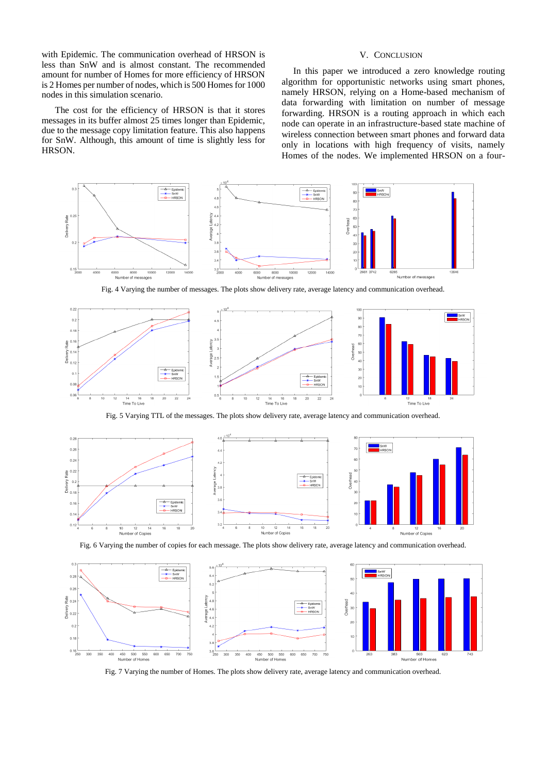with Epidemic. The communication overhead of HRSON is less than SnW and is almost constant. The recommended amount for number of Homes for more efficiency of HRSON is 2 Homes per number of nodes, which is 500 Homes for 1000 nodes in this simulation scenario.

The cost for the efficiency of HRSON is that it stores messages in its buffer almost 25 times longer than Epidemic, due to the message copy limitation feature. This also happens for SnW. Although, this amount of time is slightly less for HRSON.

# V. CONCLUSION

 In this paper we introduced a zero knowledge routing algorithm for opportunistic networks using smart phones, namely HRSON, relying on a Home-based mechanism of data forwarding with limitation on number of message forwarding. HRSON is a routing approach in which each node can operate in an infrastructure-based state machine of wireless connection between smart phones and forward data only in locations with high frequency of visits, namely Homes of the nodes. We implemented HRSON on a four-



Fig. 4 Varying the number of messages. The plots show delivery rate, average latency and communication overhead.

<span id="page-6-0"></span>

Fig. 5 Varying TTL of the messages. The plots show delivery rate, average latency and communication overhead.

<span id="page-6-1"></span>

Fig. 6 Varying the number of copies for each message. The plots show delivery rate, average latency and communication overhead.

<span id="page-6-2"></span>

<span id="page-6-3"></span>Fig. 7 Varying the number of Homes. The plots show delivery rate, average latency and communication overhead.